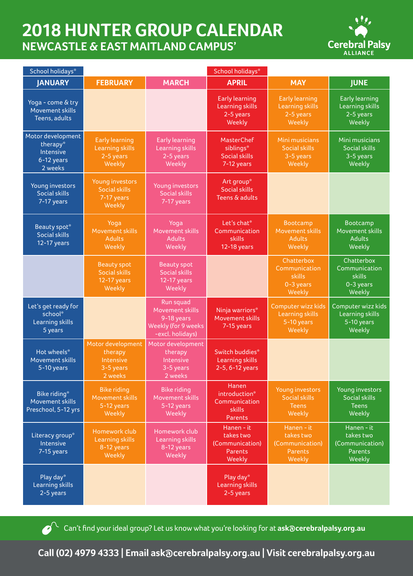## **2018 HUNTER GROUP CALENDAR NEWCASTLE & EAST MAITLAND CAMPUS'**



| School holidays*                                                    |                                                                        |                                                                                              | School holidays*                                                           |                                                                        |                                                                        |
|---------------------------------------------------------------------|------------------------------------------------------------------------|----------------------------------------------------------------------------------------------|----------------------------------------------------------------------------|------------------------------------------------------------------------|------------------------------------------------------------------------|
| <b>JANUARY</b>                                                      | <b>FEBRUARY</b>                                                        | <b>MARCH</b>                                                                                 | <b>APRIL</b>                                                               | <b>MAY</b>                                                             | <b>JUNE</b>                                                            |
| Yoga - come & try<br>Movement skills<br>Teens, adults               |                                                                        |                                                                                              | <b>Early learning</b><br><b>Learning skills</b><br>2-5 years<br>Weekly     | <b>Early learning</b><br><b>Learning skills</b><br>2-5 years<br>Weekly | <b>Early learning</b><br>Learning skills<br>2-5 years<br>Weekly        |
| Motor development<br>therapy*<br>Intensive<br>6-12 years<br>2 weeks | <b>Early learning</b><br><b>Learning skills</b><br>2-5 years<br>Weekly | <b>Early learning</b><br>Learning skills<br>2-5 years<br>Weekly                              | MasterChef<br>siblings*<br><b>Social skills</b><br>7-12 years              | Mini musicians<br><b>Social skills</b><br>3-5 years<br>Weekly          | Mini musicians<br><b>Social skills</b><br>3-5 years<br>Weekly          |
| Young investors<br><b>Social skills</b><br>7-17 years               | Young investors<br><b>Social skills</b><br>7-17 years<br>Weekly        | Young investors<br><b>Social skills</b><br>7-17 years                                        | Art group*<br><b>Social skills</b><br>Teens & adults                       |                                                                        |                                                                        |
| Beauty spot*<br><b>Social skills</b><br>12-17 years                 | Yoga<br>Movement skills<br><b>Adults</b><br>Weekly                     | Yoga<br>Movement skills<br>Adults<br>Weekly                                                  | Let's chat*<br>Communication<br>skills<br>12-18 years                      | Bootcamp<br>Movement skills<br><b>Adults</b><br>Weekly                 | Bootcamp<br>Movement skills<br><b>Adults</b><br>Weekly                 |
|                                                                     | <b>Beauty spot</b><br><b>Social skills</b><br>12-17 years<br>Weekly    | <b>Beauty spot</b><br><b>Social skills</b><br>12-17 years<br>Weekly                          |                                                                            | Chatterbox<br>Communication<br>skills<br>0-3 years<br>Weekly           | Chatterbox<br>Communication<br>skills<br>0-3 years<br>Weekly           |
| Let's get ready for<br>school*<br>Learning skills<br>5 years        |                                                                        | Run squad<br>Movement skills<br>9-18 years<br><b>Weekly (for 9 weeks</b><br>-excl. holidays) | Ninja warriors*<br>Movement skills<br>7-15 years                           | Computer wizz kids<br><b>Learning skills</b><br>5-10 years<br>Weekly   | Computer wizz kids<br>Learning skills<br>5-10 years<br>Weekly          |
| Hot wheels*<br>Movement skills<br>5-10 years                        | Motor development<br>therapy<br>Intensive<br>3-5 years<br>2 weeks      | Motor development<br>therapy<br>Intensive<br>3-5 years<br>2 weeks                            | Switch buddies*<br>Learning skills<br>2-5, 6-12 years                      |                                                                        |                                                                        |
| Bike riding*<br>Movement skills<br>Preschool, 5-12 yrs              | <b>Bike riding</b><br>Movement skills<br>5-12 years<br>Weekly          | <b>Bike riding</b><br>Movement skills<br>$5 - 12$ years<br>Weekly                            | <b>Hanen</b><br>introduction*<br>Communication<br>skills<br><b>Parents</b> | Young investors<br><b>Social skills</b><br><b>Teens</b><br>Weekly      | Young investors<br><b>Social skills</b><br><b>Teens</b><br>Weekly      |
| Literacy group*<br>Intensive<br>7-15 years                          | Homework club<br>Learning skills<br>8-12 years<br>Weekly               | Homework club<br>Learning skills<br>8-12 years<br>Weekly                                     | Hanen - it<br>takes two<br>(Communication)<br><b>Parents</b><br>Weekly     | Hanen - it<br>takes two<br>(Communication)<br>Parents<br>Weekly        | Hanen - it<br>takes two<br>(Communication)<br><b>Parents</b><br>Weekly |
| Play day*<br>Learning skills<br>2-5 years                           |                                                                        |                                                                                              | Play day*<br>Learning skills<br>$2-5$ years                                |                                                                        |                                                                        |

Can't find your ideal group? Let us know what you're looking for at **ask@cerebralpalsy.org.au** 

**Call (02) 4979 4333 | Email ask@cerebralpalsy.org.au | Visit cerebralpalsy.org.au**